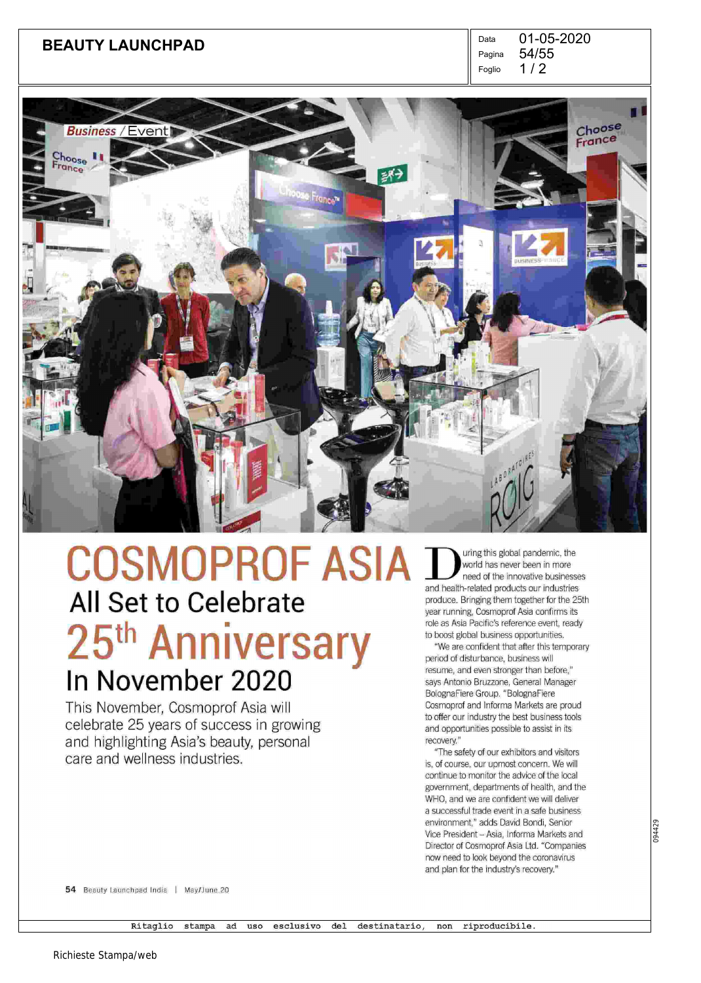## **BEAUTY LAUNCHPAD** Data

 $1/2$ Pagina Foglio 01-05-2020 54/55



# All Set to Celebrate 25<sup>th</sup> Anniversary In November 2020 COSMOPROF ASIA

This November, Cosmoprof Asia will celebrate 25 years of success in growing and highlighting Asia's beauty, personal care and wellness industries.

world has never been in more global pandemic, the need of the innovative businesses and health-related products our industries produce. Bringing them together for the 25th year running, Cosmoprof Asia confirms its role as Asia Pacific's reference event, ready to boost global business opportunities.

"We are confident that after this temporary period of disturbane, business will resume, and even stronger than before," says Antonio Bruzzone, General Manager BolognaFiere Group. "BolognaFiere Cosmoprof and Informa Markets are proud to offer our industry the best business tools and opportunities possible to assist in its recovery."

"The safety of our exhibitors and visitors is, of course, our upmost concern. We will continue to monitor the advice of the local government, departments of health, and the WHO, and we are confident we will deliver a successful trade event in a safe business environment," adds David Bondi, Senior Vice President—Asia, Informa Markets and Director of Cosmoprof Asia Ltd. "Companies now need to look beyond the coronavirus and plan for the industry's recovery."

54 Beauty Launchpad India | May/June.20